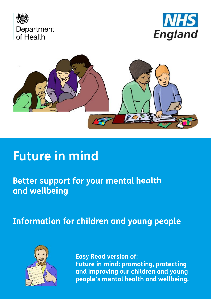





# **Future in mind**

### **Better support for your mental health and wellbeing**

**Information for children and young people**



**Easy Read version of: Future in mind: promoting, protecting and improving our children and young people's mental health and wellbeing.**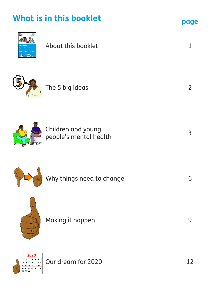# **What is in this booklet page**



#### About this booklet



The 5 big ideas



Children and young people's mental health



|  |  | Why things need to change |
|--|--|---------------------------|
|  |  |                           |



Making it happen



Our dream for 2020



1

2

3

6

9

12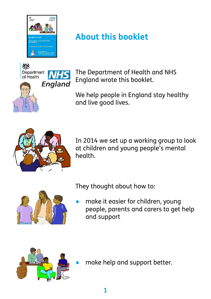

# Department of Health. England

# **About this booklet**

The Department of Health and NHS England wrote this booklet.

We help people in England stay healthy and live good lives.



In 2014 we set up a working group to look at children and young people's mental health.



They thought about how to:

make it easier for children, young people, parents and carers to get help and support



make help and support better.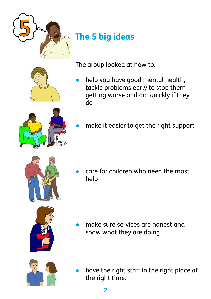

# **5 The 5 big ideas**



The group looked at how to:

help you have good mental health, tackle problems early to stop them getting worse and act quickly if they do



make it easier to get the right support



care for children who need the most help



make sure services are honest and show what they are doing



have the right staff in the right place at the right time.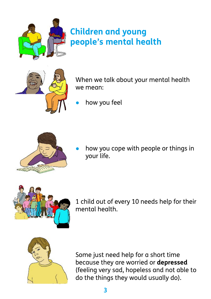

# **Children and young people's mental health**



When we talk about your mental health we mean:

how you feel



how you cope with people or things in your life.



1 child out of every 10 needs help for their mental health.



Some just need help for a short time because they are worried or **depressed** (feeling very sad, hopeless and not able to do the things they would usually do).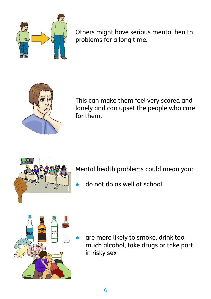

Others might have serious mental health problems for a long time.



This can make them feel very scared and lonely and can upset the people who care for them.



Mental health problems could mean you:

do not do as well at school



are more likely to smoke, drink too much alcohol, take drugs or take part in risky sex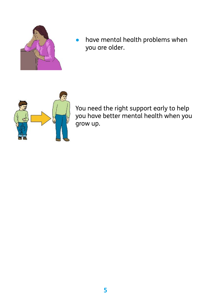

have mental health problems when you are older.



You need the right support early to help you have better mental health when you grow up.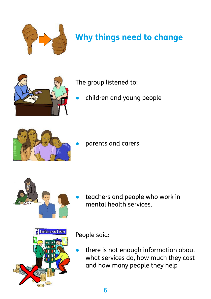

# **Why things need to change**



The group listened to:

children and young people



parents and carers



teachers and people who work in mental health services.



People said:

there is not enough information about what services do, how much they cost and how many people they help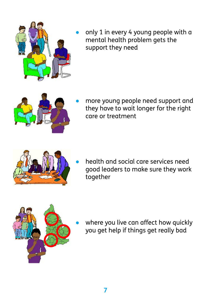

only 1 in every 4 young people with a mental health problem gets the support they need



more young people need support and they have to wait longer for the right care or treatment



health and social care services need good leaders to make sure they work together



where you live can affect how quickly you get help if things get really bad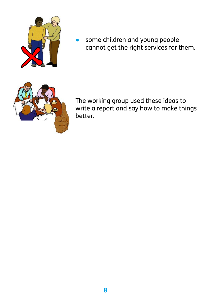

some children and young people cannot get the right services for them.



The working group used these ideas to write a report and say how to make things better.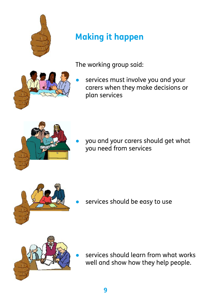**9**

### **Making it happen**

The working group said:

services must involve you and your carers when they make decisions or plan services

you and your carers should get what you need from services

- 
- 
- services should be easy to use

services should learn from what works

well and show how they help people.







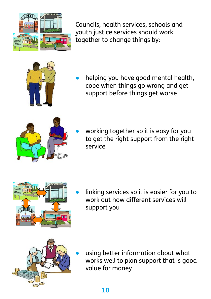

Councils, health services, schools and youth justice services should work together to change things by:



helping you have good mental health, cope when things go wrong and get support before things get worse



working together so it is easy for you to get the right support from the right service



linking services so it is easier for you to work out how different services will support you



using better information about what works well to plan support that is good value for money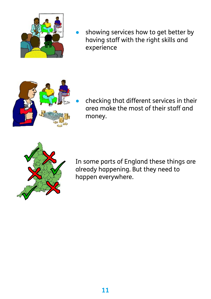

showing services how to get better by having staff with the right skills and experience



checking that different services in their area make the most of their staff and money.



In some parts of England these things are already happening. But they need to happen everywhere.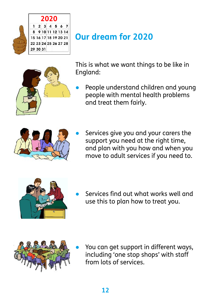



# **Our dream for 2020**

This is what we want things to be like in England:

People understand children and young people with mental health problems and treat them fairly.



Services give you and your carers the support you need at the right time, and plan with you how and when you move to adult services if you need to.



l Services find out what works well and use this to plan how to treat you.



You can get support in different ways, including 'one stop shops' with staff from lots of services.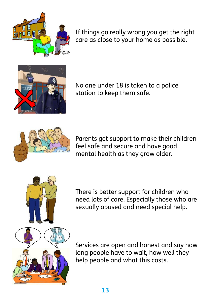If things go really wrong you get the right care as close to your home as possible.

No one under 18 is taken to a police station to keep them safe.

Parents get support to make their children feel safe and secure and have good mental health as they grow older.

There is better support for children who need lots of care. Especially those who are sexually abused and need special help.

Services are open and honest and say how long people have to wait, how well they help people and what this costs.





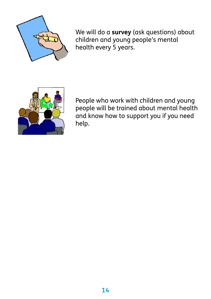

We will do a **survey** (ask questions) about children and young people's mental health every 5 years.



People who work with children and young people will be trained about mental health and know how to support you if you need help.